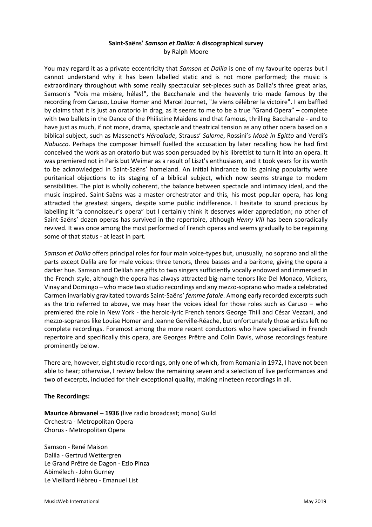## **Saint-Saëns'** *Samson et Dalila:* **A discographical survey** by Ralph Moore

You may regard it as a private eccentricity that *Samson et Dalila* is one of my favourite operas but I cannot understand why it has been labelled static and is not more performed; the music is extraordinary throughout with some really spectacular set-pieces such as Dalila's three great arias, Samson's "Vois ma misère, hélas!", the Bacchanale and the heavenly trio made famous by the recording from Caruso, Louise Homer and Marcel Journet, "Je viens célébrer la victoire". I am baffled by claims that it is just an oratorio in drag, as it seems to me to be a true "Grand Opera" – complete with two ballets in the Dance of the Philistine Maidens and that famous, thrilling Bacchanale - and to have just as much, if not more, drama, spectacle and theatrical tension as any other opera based on a biblical subject, such as Massenet's *Hérodiade*, Strauss' *Salome*, Rossini's *Mosè in Egitto* and Verdi's *Nabucco*. Perhaps the composer himself fuelled the accusation by later recalling how he had first conceived the work as an oratorio but was soon persuaded by his librettist to turn it into an opera. It was premiered not in Paris but Weimar as a result of Liszt's enthusiasm, and it took years for its worth to be acknowledged in Saint-Saëns' homeland. An initial hindrance to its gaining popularity were puritanical objections to its staging of a biblical subject, which now seems strange to modern sensibilities. The plot is wholly coherent, the balance between spectacle and intimacy ideal, and the music inspired. Saint-Saëns was a master orchestrator and this, his most popular opera, has long attracted the greatest singers, despite some public indifference. I hesitate to sound precious by labelling it "a connoisseur's opera" but I certainly think it deserves wider appreciation; no other of Saint-Saëns' dozen operas has survived in the repertoire, although *Henry VIII* has been sporadically revived. It was once among the most performed of French operas and seems gradually to be regaining some of that status - at least in part.

*Samson et Dalila* offers principal roles for four main voice-types but, unusually, no soprano and all the parts except Dalila are for male voices: three tenors, three basses and a baritone, giving the opera a darker hue. Samson and Delilah are gifts to two singers sufficiently vocally endowed and immersed in the French style, although the opera has always attracted big-name tenors like Del Monaco, Vickers, Vinay and Domingo – who made two studio recordings and any mezzo-soprano who made a celebrated Carmen invariably gravitated towards Saint-Saëns' *femme fatale*. Among early recorded excerpts such as the trio referred to above, we may hear the voices ideal for those roles such as Caruso – who premiered the role in New York - the heroic-lyric French tenors George Thill and César Vezzani, and mezzo-sopranos like Louise Homer and Jeanne Gerville-Réache, but unfortunately those artists left no complete recordings. Foremost among the more recent conductors who have specialised in French repertoire and specifically this opera, are Georges Prêtre and Colin Davis, whose recordings feature prominently below.

There are, however, eight studio recordings, only one of which, from Romania in 1972, I have not been able to hear; otherwise, I review below the remaining seven and a selection of live performances and two of excerpts, included for their exceptional quality, making nineteen recordings in all.

## **The Recordings:**

**Maurice Abravanel – 1936** (live radio broadcast; mono) Guild Orchestra - Metropolitan Opera Chorus - Metropolitan Opera

Samson - René Maison Dalila - Gertrud Wettergren Le Grand Prêtre de Dagon - Ezio Pinza Abimélech - John Gurney Le Vieillard Hébreu - Emanuel List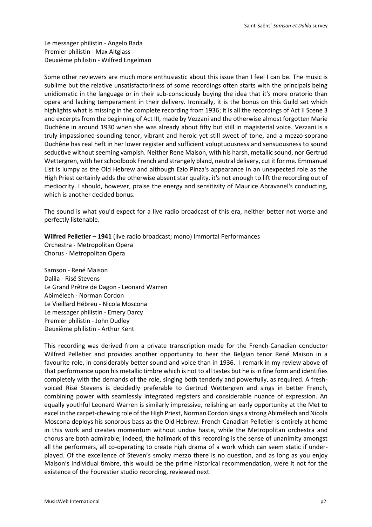Le messager philistin - Angelo Bada Premier philistin - Max Altglass Deuxième philistin - Wilfred Engelman

Some other reviewers are much more enthusiastic about this issue than I feel I can be. The music is sublime but the relative unsatisfactoriness of some recordings often starts with the principals being unidiomatic in the language or in their sub-consciously buying the idea that it's more oratorio than opera and lacking temperament in their delivery. Ironically, it is the bonus on this Guild set which highlights what is missing in the complete recording from 1936; it is all the recordings of Act II Scene 3 and excerpts from the beginning of Act III, made by Vezzani and the otherwise almost forgotten Marie Duchêne in around 1930 when she was already about fifty but still in magisterial voice. Vezzani is a truly impassioned-sounding tenor, vibrant and heroic yet still sweet of tone, and a mezzo-soprano Duchêne has real heft in her lower register and sufficient voluptuousness and sensuousness to sound seductive without seeming vampish. Neither Rene Maison, with his harsh, metallic sound, nor Gertrud Wettergren, with her schoolbook French and strangely bland, neutral delivery, cut it for me. Emmanuel List is lumpy as the Old Hebrew and although Ezio Pinza's appearance in an unexpected role as the High Priest certainly adds the otherwise absent star quality, it's not enough to lift the recording out of mediocrity. I should, however, praise the energy and sensitivity of Maurice Abravanel's conducting, which is another decided bonus.

The sound is what you'd expect for a live radio broadcast of this era, neither better not worse and perfectly listenable.

**Wilfred Pelletier – 1941** (live radio broadcast; mono) Immortal Performances

Orchestra - Metropolitan Opera Chorus - Metropolitan Opera

Samson - René Maison Dalila - Risë Stevens Le Grand Prêtre de Dagon - Leonard Warren Abimélech - Norman Cordon Le Vieillard Hébreu - Nicola Moscona Le messager philistin - Emery Darcy Premier philistin - John Dudley Deuxième philistin - Arthur Kent

This recording was derived from a private transcription made for the French-Canadian conductor Wilfred Pelletier and provides another opportunity to hear the Belgian tenor René Maison in a favourite role, in considerably better sound and voice than in 1936. I remark in my review above of that performance upon his metallic timbre which is not to all tastes but he is in fine form and identifies completely with the demands of the role, singing both tenderly and powerfully, as required. A freshvoiced Risë Stevens is decidedly preferable to Gertrud Wettergren and sings in better French, combining power with seamlessly integrated registers and considerable nuance of expression. An equally youthful Leonard Warren is similarly impressive, relishing an early opportunity at the Met to excel in the carpet-chewing role of the High Priest, Norman Cordon sings a strong Abimélech and Nicola Moscona deploys his sonorous bass as the Old Hebrew. French-Canadian Pelletier is entirely at home in this work and creates momentum without undue haste, while the Metropolitan orchestra and chorus are both admirable; indeed, the hallmark of this recording is the sense of unanimity amongst all the performers, all co-operating to create high drama of a work which can seem static if underplayed. Of the excellence of Steven's smoky mezzo there is no question, and as long as you enjoy Maison's individual timbre, this would be the prime historical recommendation, were it not for the existence of the Fourestier studio recording, reviewed next.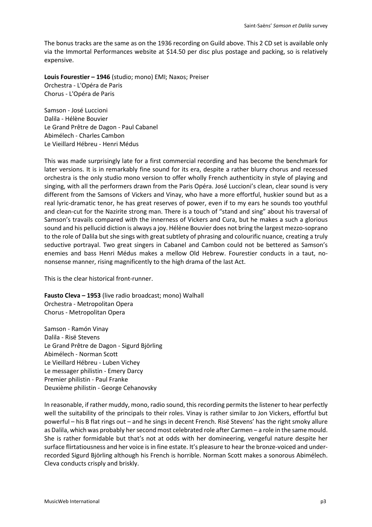The bonus tracks are the same as on the 1936 recording on Guild above. This 2 CD set is available only via the Immortal Performances website at \$14.50 per disc plus postage and packing, so is relatively expensive.

**Louis Fourestier – 1946** (studio; mono) EMI; Naxos; Preiser Orchestra - L'Opéra de Paris Chorus - L'Opéra de Paris

Samson - José Luccioni Dalila - Hélène Bouvier Le Grand Prêtre de Dagon - Paul Cabanel Abimélech - Charles Cambon Le Vieillard Hébreu - Henri Médus

This was made surprisingly late for a first commercial recording and has become the benchmark for later versions. It is in remarkably fine sound for its era, despite a rather blurry chorus and recessed orchestra is the only studio mono version to offer wholly French authenticity in style of playing and singing, with all the performers drawn from the Paris Opéra. José Luccioni's clean, clear sound is very different from the Samsons of Vickers and Vinay, who have a more effortful, huskier sound but as a real lyric-dramatic tenor, he has great reserves of power, even if to my ears he sounds too youthful and clean-cut for the Nazirite strong man. There is a touch of "stand and sing" about his traversal of Samson's travails compared with the innerness of Vickers and Cura, but he makes a such a glorious sound and his pellucid diction is always a joy. Hélène Bouvier does not bring the largest mezzo-soprano to the role of Dalila but she sings with great subtlety of phrasing and colourific nuance, creating a truly seductive portrayal. Two great singers in Cabanel and Cambon could not be bettered as Samson's enemies and bass Henri Médus makes a mellow Old Hebrew. Fourestier conducts in a taut, nononsense manner, rising magnificently to the high drama of the last Act.

This is the clear historical front-runner.

**Fausto Cleva – 1953** (live radio broadcast; mono) Walhall Orchestra - Metropolitan Opera Chorus - Metropolitan Opera

Samson - Ramón Vinay Dalila - Risë Stevens Le Grand Prêtre de Dagon - Sigurd Björling Abimélech - Norman Scott Le Vieillard Hébreu - Luben Vichey Le messager philistin - Emery Darcy Premier philistin - Paul Franke Deuxième philistin - George Cehanovsky

In reasonable, if rather muddy, mono, radio sound, this recording permits the listener to hear perfectly well the suitability of the principals to their roles. Vinay is rather similar to Jon Vickers, effortful but powerful – his B flat rings out – and he sings in decent French. Risë Stevens' has the right smoky allure as Dalila, which was probably her second most celebrated role after Carmen – a role in the same mould. She is rather formidable but that's not at odds with her domineering, vengeful nature despite her surface flirtatiousness and her voice is in fine estate. It's pleasure to hear the bronze-voiced and underrecorded Sigurd Björling although his French is horrible. Norman Scott makes a sonorous Abimélech. Cleva conducts crisply and briskly.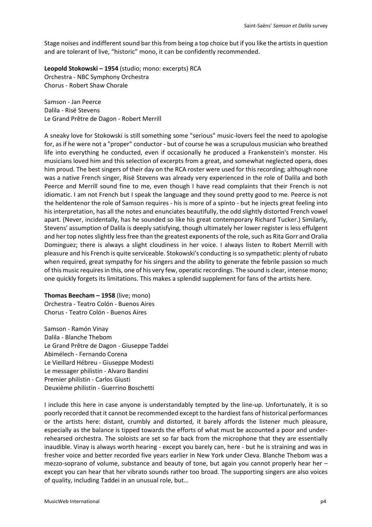Stage noises and indifferent sound bar this from being a top choice but if you like the artists in question and are tolerant of live, "historic" mono, it can be confidently recommended.

**Leopold Stokowski – 1954** (studio; mono: excerpts) RCA Orchestra - NBC Symphony Orchestra Chorus - Robert Shaw Chorale

Samson - Jan Peerce Dalila - Risë Stevens Le Grand Prêtre de Dagon - Robert Merrill

A sneaky love for Stokowski is still something some "serious" music-lovers feel the need to apologise for, as if he were not a "proper" conductor - but of course he was a scrupulous musician who breathed life into everything he conducted, even if occasionally he produced a Frankenstein's monster. His musicians loved him and this selection of excerpts from a great, and somewhat neglected opera, does him proud. The best singers of their day on the RCA roster were used for this recording; although none was a native French singer, Risë Stevens was already very experienced in the role of Dalila and both Peerce and Merrill sound fine to me, even though I have read complaints that their French is not idiomatic. I am not French but I speak the language and they sound pretty good to me. Peerce is not the heldentenor the role of Samson requires - his is more of a spinto - but he injects great feeling into his interpretation, has all the notes and enunciates beautifully, the odd slightly distorted French vowel apart. (Never, incidentally, has he sounded so like his great contemporary Richard Tucker.) Similarly, Stevens' assumption of Dalila is deeply satisfying, though ultimately her lower register is less effulgent and her top notes slightly less free than the greatest exponents of the role, such as Rita Gorr and Oralia Dominguez; there is always a slight cloudiness in her voice. I always listen to Robert Merrill with pleasure and his French is quite serviceable. Stokowski's conducting is so sympathetic: plenty of rubato when required, great sympathy for his singers and the ability to generate the febrile passion so much of this music requires in this, one of his very few, operatic recordings. The sound is clear, intense mono; one quickly forgets its limitations. This makes a splendid supplement for fans of the artists here.

**Thomas Beecham – 1958** (live; mono) Orchestra - Teatro Colón - Buenos Aires Chorus - Teatro Colón - Buenos Aires

Samson - Ramón Vinay Dalila - Blanche Thebom Le Grand Prêtre de Dagon - Giuseppe Taddei Abimélech - Fernando Corena Le Vieillard Hébreu - Giuseppe Modesti Le messager philistin - Alvaro Bandini Premier philistin - Carlos Giusti Deuxième philistin - Guerrino Boschetti

I include this here in case anyone is understandably tempted by the line-up. Unfortunately, it is so poorly recorded that it cannot be recommended except to the hardiest fans of historical performances or the artists here: distant, crumbly and distorted, it barely affords the listener much pleasure, especially as the balance is tipped towards the efforts of what must be accounted a poor and underrehearsed orchestra. The soloists are set so far back from the microphone that they are essentially inaudible. Vinay is always worth hearing - except you barely can, here - but he is straining and was in fresher voice and better recorded five years earlier in New York under Cleva. Blanche Thebom was a mezzo-soprano of volume, substance and beauty of tone, but again you cannot properly hear her – except you can hear that her vibrato sounds rather too broad. The supporting singers are also voices of quality, including Taddei in an unusual role, but…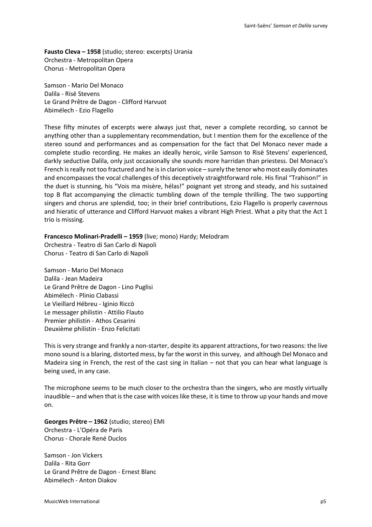**Fausto Cleva – 1958** (studio; stereo: excerpts) Urania Orchestra - Metropolitan Opera Chorus - Metropolitan Opera

Samson - Mario Del Monaco Dalila - Risë Stevens Le Grand Prêtre de Dagon - Clifford Harvuot Abimélech - Ezio Flagello

These fifty minutes of excerpts were always just that, never a complete recording, so cannot be anything other than a supplementary recommendation, but I mention them for the excellence of the stereo sound and performances and as compensation for the fact that Del Monaco never made a complete studio recording. He makes an ideally heroic, virile Samson to Risë Stevens' experienced, darkly seductive Dalila, only just occasionally she sounds more harridan than priestess. Del Monaco's French is really not too fractured and he is in clarion voice – surely the tenor who most easily dominates and encompasses the vocal challenges of this deceptively straightforward role. His final "Trahison!" in the duet is stunning, his "Vois ma misère, hélas!" poignant yet strong and steady, and his sustained top B flat accompanying the climactic tumbling down of the temple thrilling. The two supporting singers and chorus are splendid, too; in their brief contributions, Ezio Flagello is properly cavernous and hieratic of utterance and Clifford Harvuot makes a vibrant High Priest. What a pity that the Act 1 trio is missing.

**Francesco Molinari-Pradelli – 1959** (live; mono) Hardy; Melodram

Orchestra - Teatro di San Carlo di Napoli Chorus - Teatro di San Carlo di Napoli

Samson - Mario Del Monaco Dalila - Jean Madeira Le Grand Prêtre de Dagon - Lino Puglisi Abimélech - Plinio Clabassi Le Vieillard Hébreu - Iginio Riccò Le messager philistin - Attilio Flauto Premier philistin - Athos Cesarini Deuxième philistin - Enzo Felicitati

This is very strange and frankly a non-starter, despite its apparent attractions, for two reasons: the live mono sound is a blaring, distorted mess, by far the worst in this survey, and although Del Monaco and Madeira sing in French, the rest of the cast sing in Italian – not that you can hear what language is being used, in any case.

The microphone seems to be much closer to the orchestra than the singers, who are mostly virtually inaudible – and when that is the case with voices like these, it is time to throw up your hands and move on.

**Georges Prêtre – 1962** (studio; stereo) EMI Orchestra - L'Opéra de Paris Chorus - Chorale René Duclos

Samson - Jon Vickers Dalila - Rita Gorr Le Grand Prêtre de Dagon - Ernest Blanc Abimélech - Anton Diakov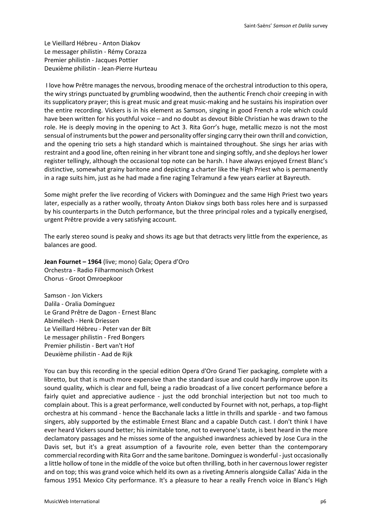Le Vieillard Hébreu - Anton Diakov Le messager philistin - Rémy Corazza Premier philistin - Jacques Pottier Deuxième philistin - Jean-Pierre Hurteau

I love how Prêtre manages the nervous, brooding menace of the orchestral introduction to this opera, the wiry strings punctuated by grumbling woodwind, then the authentic French choir creeping in with its supplicatory prayer; this is great music and great music-making and he sustains his inspiration over the entire recording. Vickers is in his element as Samson, singing in good French a role which could have been written for his youthful voice – and no doubt as devout Bible Christian he was drawn to the role. He is deeply moving in the opening to Act 3. Rita Gorr's huge, metallic mezzo is not the most sensual of instruments but the power and personality offer singing carry their own thrill and conviction, and the opening trio sets a high standard which is maintained throughout. She sings her arias with restraint and a good line, often reining in her vibrant tone and singing softly, and she deploys her lower register tellingly, although the occasional top note can be harsh. I have always enjoyed Ernest Blanc's distinctive, somewhat grainy baritone and depicting a charter like the High Priest who is permanently in a rage suits him, just as he had made a fine raging Telramund a few years earlier at Bayreuth.

Some might prefer the live recording of Vickers with Dominguez and the same High Priest two years later, especially as a rather woolly, throaty Anton Diakov sings both bass roles here and is surpassed by his counterparts in the Dutch performance, but the three principal roles and a typically energised, urgent Prêtre provide a very satisfying account.

The early stereo sound is peaky and shows its age but that detracts very little from the experience, as balances are good.

**Jean Fournet – 1964** (live; mono) Gala; Opera d'Oro Orchestra - Radio Filharmonisch Orkest Chorus - Groot Omroepkoor

Samson - Jon Vickers Dalila - Oralia Domínguez Le Grand Prêtre de Dagon - Ernest Blanc Abimélech - Henk Driessen Le Vieillard Hébreu - Peter van der Bilt Le messager philistin - Fred Bongers Premier philistin - Bert van't Hof Deuxième philistin - Aad de Rijk

You can buy this recording in the special edition Opera d'Oro Grand Tier packaging, complete with a libretto, but that is much more expensive than the standard issue and could hardly improve upon its sound quality, which is clear and full, being a radio broadcast of a live concert performance before a fairly quiet and appreciative audience - just the odd bronchial interjection but not too much to complain about. This is a great performance, well conducted by Fournet with not, perhaps, a top-flight orchestra at his command - hence the Bacchanale lacks a little in thrills and sparkle - and two famous singers, ably supported by the estimable Ernest Blanc and a capable Dutch cast. I don't think I have ever heard Vickers sound better; his inimitable tone, not to everyone's taste, is best heard in the more declamatory passages and he misses some of the anguished inwardness achieved by Jose Cura in the Davis set, but it's a great assumption of a favourite role, even better than the contemporary commercial recording with Rita Gorr and the same baritone. Dominguez is wonderful - just occasionally a little hollow of tone in the middle of the voice but often thrilling, both in her cavernous lower register and on top; this was grand voice which held its own as a riveting Amneris alongside Callas' Aida in the famous 1951 Mexico City performance. It's a pleasure to hear a really French voice in Blanc's High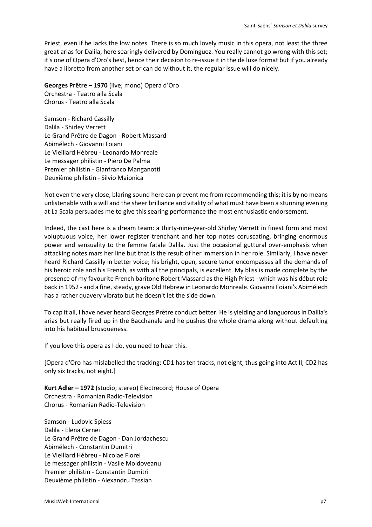Priest, even if he lacks the low notes. There is so much lovely music in this opera, not least the three great arias for Dalila, here searingly delivered by Dominguez. You really cannot go wrong with this set; it's one of Opera d'Oro's best, hence their decision to re-issue it in the de luxe format but if you already have a libretto from another set or can do without it, the regular issue will do nicely.

**Georges Prêtre – 1970** (live; mono) Opera d'Oro Orchestra - Teatro alla Scala Chorus - Teatro alla Scala

Samson - Richard Cassilly Dalila - Shirley Verrett Le Grand Prêtre de Dagon - Robert Massard Abimélech - Giovanni Foiani Le Vieillard Hébreu - Leonardo Monreale Le messager philistin - Piero De Palma Premier philistin - Gianfranco Manganotti Deuxième philistin - Silvio Maionica

Not even the very close, blaring sound here can prevent me from recommending this; it is by no means unlistenable with a will and the sheer brilliance and vitality of what must have been a stunning evening at La Scala persuades me to give this searing performance the most enthusiastic endorsement.

Indeed, the cast here is a dream team: a thirty-nine-year-old Shirley Verrett in finest form and most voluptuous voice, her lower register trenchant and her top notes coruscating, bringing enormous power and sensuality to the femme fatale Dalila. Just the occasional guttural over-emphasis when attacking notes mars her line but that is the result of her immersion in her role. Similarly, I have never heard Richard Cassilly in better voice; his bright, open, secure tenor encompasses all the demands of his heroic role and his French, as with all the principals, is excellent. My bliss is made complete by the presence of my favourite French baritone Robert Massard as the High Priest - which was his début role back in 1952 - and a fine, steady, grave Old Hebrew in Leonardo Monreale. Giovanni Foiani's Abimélech has a rather quavery vibrato but he doesn't let the side down.

To cap it all, I have never heard Georges Prêtre conduct better. He is yielding and languorous in Dalila's arias but really fired up in the Bacchanale and he pushes the whole drama along without defaulting into his habitual brusqueness.

If you love this opera as I do, you need to hear this.

[Opera d'Oro has mislabelled the tracking: CD1 has ten tracks, not eight, thus going into Act II; CD2 has only six tracks, not eight.]

**Kurt Adler – 1972** (studio; stereo) Electrecord; House of Opera Orchestra - Romanian Radio-Television Chorus - Romanian Radio-Television

Samson - Ludovic Spiess Dalila - Elena Cernei Le Grand Prêtre de Dagon - Dan Jordachescu Abimélech - Constantin Dumitri Le Vieillard Hébreu - Nicolae Florei Le messager philistin - Vasile Moldoveanu Premier philistin - Constantin Dumitri Deuxième philistin - Alexandru Tassian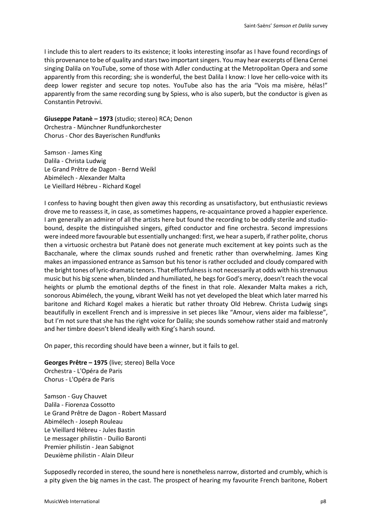I include this to alert readers to its existence; it looks interesting insofar as I have found recordings of this provenance to be of quality and stars two important singers. You may hear excerpts of Elena Cernei singing Dalila on YouTube, some of those with Adler conducting at the Metropolitan Opera and some apparently from this recording; she is wonderful, the best Dalila I know: I love her cello-voice with its deep lower register and secure top notes. YouTube also has the aria "Vois ma misère, hélas!" apparently from the same recording sung by Spiess, who is also superb, but the conductor is given as Constantin Petrovivi.

**Giuseppe Patanè – 1973** (studio; stereo) RCA; Denon Orchestra - Münchner Rundfunkorchester Chorus - Chor des Bayerischen Rundfunks

Samson - James King Dalila - Christa Ludwig Le Grand Prêtre de Dagon - Bernd Weikl Abimélech - Alexander Malta Le Vieillard Hébreu - Richard Kogel

I confess to having bought then given away this recording as unsatisfactory, but enthusiastic reviews drove me to reassess it, in case, as sometimes happens, re-acquaintance proved a happier experience. I am generally an admirer of all the artists here but found the recording to be oddly sterile and studiobound, despite the distinguished singers, gifted conductor and fine orchestra. Second impressions were indeed more favourable but essentially unchanged: first, we hear a superb, if rather polite, chorus then a virtuosic orchestra but Patanè does not generate much excitement at key points such as the Bacchanale, where the climax sounds rushed and frenetic rather than overwhelming. James King makes an impassioned entrance as Samson but his tenor is rather occluded and cloudy compared with the bright tones of lyric-dramatic tenors. That effortfulness is not necessarily at odds with hisstrenuous music but his big scene when, blinded and humiliated, he begs for God's mercy, doesn't reach the vocal heights or plumb the emotional depths of the finest in that role. Alexander Malta makes a rich, sonorous Abimélech, the young, vibrant Weikl has not yet developed the bleat which later marred his baritone and Richard Kogel makes a hieratic but rather throaty Old Hebrew. Christa Ludwig sings beautifully in excellent French and is impressive in set pieces like "Amour, viens aider ma faiblesse", but I'm not sure that she has the right voice for Dalila; she sounds somehow rather staid and matronly and her timbre doesn't blend ideally with King's harsh sound.

On paper, this recording should have been a winner, but it fails to gel.

**Georges Prêtre – 1975** (live; stereo) Bella Voce Orchestra - L'Opéra de Paris Chorus - L'Opéra de Paris

Samson - Guy Chauvet Dalila - Fiorenza Cossotto Le Grand Prêtre de Dagon - Robert Massard Abimélech - Joseph Rouleau Le Vieillard Hébreu - Jules Bastin Le messager philistin - Duilio Baronti Premier philistin - Jean Sabignot Deuxième philistin - Alain Dileur

Supposedly recorded in stereo, the sound here is nonetheless narrow, distorted and crumbly, which is a pity given the big names in the cast. The prospect of hearing my favourite French baritone, Robert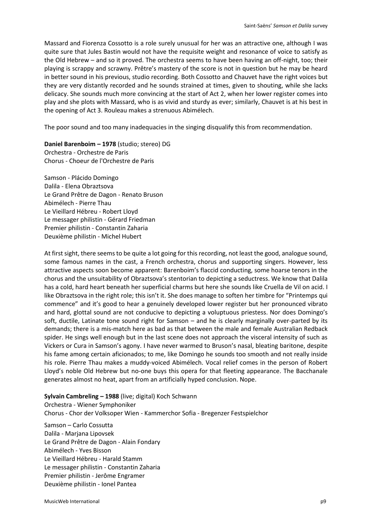Massard and Fiorenza Cossotto is a role surely unusual for her was an attractive one, although I was quite sure that Jules Bastin would not have the requisite weight and resonance of voice to satisfy as the Old Hebrew – and so it proved. The orchestra seems to have been having an off-night, too; their playing is scrappy and scrawny. Prêtre's mastery of the score is not in question but he may be heard in better sound in his previous, studio recording. Both Cossotto and Chauvet have the right voices but they are very distantly recorded and he sounds strained at times, given to shouting, while she lacks delicacy. She sounds much more convincing at the start of Act 2, when her lower register comes into play and she plots with Massard, who is as vivid and sturdy as ever; similarly, Chauvet is at his best in the opening of Act 3. Rouleau makes a strenuous Abimélech.

The poor sound and too many inadequacies in the singing disqualify this from recommendation.

**Daniel Barenboim – 1978** (studio; stereo) DG Orchestra - Orchestre de Paris Chorus - Choeur de l'Orchestre de Paris

Samson - Plácido Domingo Dalila - Elena Obraztsova Le Grand Prêtre de Dagon - Renato Bruson Abimélech - Pierre Thau Le Vieillard Hébreu - Robert Lloyd Le messager philistin - Gérard Friedman Premier philistin - Constantin Zaharia Deuxième philistin - Michel Hubert

At first sight, there seems to be quite a lot going for this recording, not least the good, analogue sound, some famous names in the cast, a French orchestra, chorus and supporting singers. However, less attractive aspects soon become apparent: Barenboim's flaccid conducting, some hoarse tenors in the chorus and the unsuitability of Obraztsova's stentorian to depicting a seductress. We know that Dalila has a cold, hard heart beneath her superficial charms but here she sounds like Cruella de Vil on acid. I like Obraztsova in the right role; this isn't it. She does manage to soften her timbre for "Printemps qui commence" and it's good to hear a genuinely developed lower register but her pronounced vibrato and hard, glottal sound are not conducive to depicting a voluptuous priestess. Nor does Domingo's soft, ductile, Latinate tone sound right for Samson – and he is clearly marginally over-parted by its demands; there is a mis-match here as bad as that between the male and female Australian Redback spider. He sings well enough but in the last scene does not approach the visceral intensity of such as Vickers or Cura in Samson's agony. I have never warmed to Bruson's nasal, bleating baritone, despite his fame among certain aficionados; to me, like Domingo he sounds too smooth and not really inside his role. Pierre Thau makes a muddy-voiced Abimélech. Vocal relief comes in the person of Robert Lloyd's noble Old Hebrew but no-one buys this opera for that fleeting appearance. The Bacchanale generates almost no heat, apart from an artificially hyped conclusion. Nope.

## **Sylvain Cambreling – 1988** (live; digital) Koch Schwann

Orchestra - Wiener Symphoniker Chorus - Chor der Volksoper Wien - Kammerchor Sofia - Bregenzer Festspielchor Samson – Carlo Cossutta

Dalila - Marjana Lipovsek Le Grand Prêtre de Dagon - Alain Fondary Abimélech - Yves Bisson Le Vieillard Hébreu - Harald Stamm Le messager philistin - Constantin Zaharia Premier philistin - Jerôme Engramer Deuxième philistin - Ionel Pantea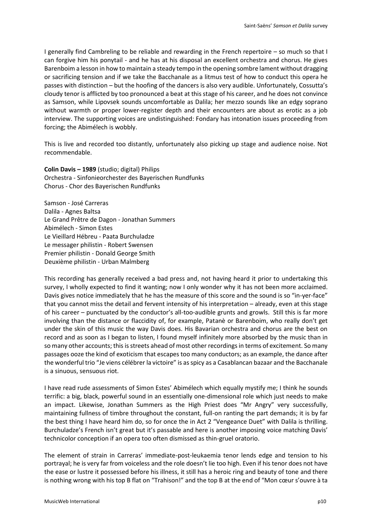I generally find Cambreling to be reliable and rewarding in the French repertoire – so much so that I can forgive him his ponytail - and he has at his disposal an excellent orchestra and chorus. He gives Barenboim a lesson in how to maintain a steady tempo in the opening sombre lament without dragging or sacrificing tension and if we take the Bacchanale as a litmus test of how to conduct this opera he passes with distinction – but the hoofing of the dancers is also very audible. Unfortunately, Cossutta's cloudy tenor is afflicted by too pronounced a beat at this stage of his career, and he does not convince as Samson, while Lipovsek sounds uncomfortable as Dalila; her mezzo sounds like an edgy soprano without warmth or proper lower-register depth and their encounters are about as erotic as a job interview. The supporting voices are undistinguished: Fondary has intonation issues proceeding from forcing; the Abimélech is wobbly.

This is live and recorded too distantly, unfortunately also picking up stage and audience noise. Not recommendable.

**Colin Davis – 1989** (studio; digital) Philips Orchestra - Sinfonieorchester des Bayerischen Rundfunks Chorus - Chor des Bayerischen Rundfunks

Samson - José Carreras Dalila - Agnes Baltsa Le Grand Prêtre de Dagon - Jonathan Summers Abimélech - Simon Estes Le Vieillard Hébreu - Paata Burchuladze Le messager philistin - Robert Swensen Premier philistin - Donald George Smith Deuxième philistin - Urban Malmberg

This recording has generally received a bad press and, not having heard it prior to undertaking this survey, I wholly expected to find it wanting; now I only wonder why it has not been more acclaimed. Davis gives notice immediately that he has the measure of this score and the sound is so "in-yer-face" that you cannot miss the detail and fervent intensity of his interpretation – already, even at this stage of his career – punctuated by the conductor's all-too-audible grunts and growls. Still this is far more involving than the distance or flaccidity of, for example, Patanè or Barenboim, who really don't get under the skin of this music the way Davis does. His Bavarian orchestra and chorus are the best on record and as soon as I began to listen, I found myself infinitely more absorbed by the music than in so many other accounts; this is streets ahead of most other recordings in terms of excitement. So many passages ooze the kind of exoticism that escapes too many conductors; as an example, the dance after the wonderful trio "Je viens célébrer la victoire" is as spicy as a Casablancan bazaar and the Bacchanale is a sinuous, sensuous riot.

I have read rude assessments of Simon Estes' Abimélech which equally mystify me; I think he sounds terrific: a big, black, powerful sound in an essentially one-dimensional role which just needs to make an impact. Likewise, Jonathan Summers as the High Priest does "Mr Angry" very successfully, maintaining fullness of timbre throughout the constant, full-on ranting the part demands; it is by far the best thing I have heard him do, so for once the in Act 2 "Vengeance Duet" with Dalila is thrilling. Burchuladze's French isn't great but it's passable and here is another imposing voice matching Davis' technicolor conception if an opera too often dismissed as thin-gruel oratorio.

The element of strain in Carreras' immediate-post-leukaemia tenor lends edge and tension to his portrayal; he is very far from voiceless and the role doesn't lie too high. Even if his tenor does not have the ease or lustre it possessed before his illness, it still has a heroic ring and beauty of tone and there is nothing wrong with his top B flat on "Trahison!" and the top B at the end of "Mon cœur s'ouvre à ta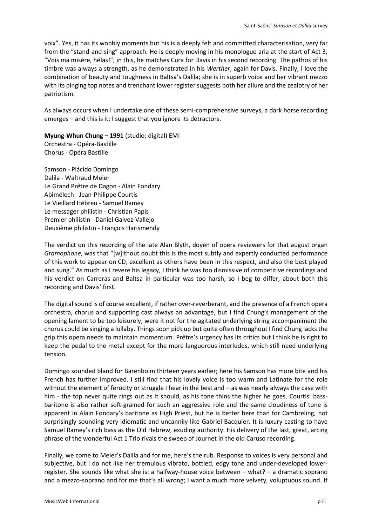voix". Yes, it has its wobbly moments but his is a deeply felt and committed characterisation, very far from the "stand-and-sing" approach. He is deeply moving in his monologue aria at the start of Act 3, "Vois ma misère, hélas!"; in this, he matches Cura for Davis in his second recording. The pathos of his timbre was always a strength, as he demonstrated in his *Werther*, again for Davis. Finally, I love the combination of beauty and toughness in Baltsa's Dalila; she is in superb voice and her vibrant mezzo with its pinging top notes and trenchant lower register suggests both her allure and the zealotry of her patriotism.

As always occurs when I undertake one of these semi-comprehensive surveys, a dark horse recording emerges – and this is it; I suggest that you ignore its detractors.

**Myung-Whun Chung – 1991** (studio; digital) EMI

Orchestra - Opéra-Bastille Chorus - Opéra Bastille

Samson - Plácido Domingo Dalila - Waltraud Meier Le Grand Prêtre de Dagon - Alain Fondary Abimélech - Jean-Philippe Courtis Le Vieillard Hébreu - Samuel Ramey Le messager philistin - Christian Papis Premier philistin - Daniel Galvez-Vallejo Deuxième philistin - François Harismendy

The verdict on this recording of the late Alan Blyth, doyen of opera reviewers for that august organ *Gramophone*, was that "[w]ithout doubt this is the most subtly and expertly conducted performance of this work to appear on CD, excellent as others have been in this respect, and also the best played and sung." As much as I revere his legacy, I think he was too dismissive of competitive recordings and his verdict on Carreras and Baltsa in particular was too harsh, so I beg to differ, about both this recording and Davis' first.

The digital sound is of course excellent, if rather over-reverberant, and the presence of a French opera orchestra, chorus and supporting cast always an advantage, but I find Chung's management of the opening lament to be too leisurely; were it not for the agitated underlying string accompaniment the chorus could be singing a lullaby. Things soon pick up but quite often throughout I find Chung lacks the grip this opera needs to maintain momentum. Prêtre's urgency has its critics but I think he is right to keep the pedal to the metal except for the more languorous interludes, which still need underlying tension.

Domingo sounded bland for Barenboim thirteen years earlier; here his Samson has more bite and his French has further improved. I still find that his lovely voice is too warm and Latinate for the role without the element of ferocity or struggle I hear in the best and – as was nearly always the case with him - the top never quite rings out as it should, as his tone thins the higher he goes. Courtis' bassbaritone is also rather soft-grained for such an aggressive role and the same cloudiness of tone is apparent in Alain Fondary's baritone as High Priest, but he is better here than for Cambreling, not surprisingly sounding very idiomatic and uncannily like Gabriel Bacquier. It is luxury casting to have Samuel Ramey's rich bass as the Old Hebrew, exuding authority. His delivery of the last, great, arcing phrase of the wonderful Act 1 Trio rivals the sweep of Journet in the old Caruso recording.

Finally, we come to Meier's Dalila and for me, here's the rub. Response to voices is very personal and subjective, but I do not like her tremulous vibrato, bottled, edgy tone and under-developed lowerregister. She sounds like what she is: a halfway-house voice between – what? – a dramatic soprano and a mezzo-soprano and for me that's all wrong; I want a much more velvety, voluptuous sound. If